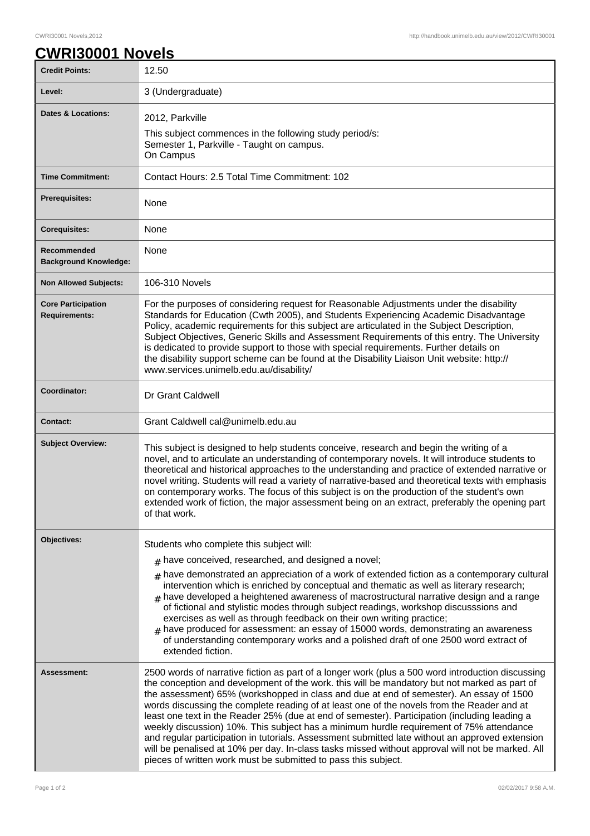٦

## **CWRI30001 Novels**

| <b>Credit Points:</b>                             | 12.50                                                                                                                                                                                                                                                                                                                                                                                                                                                                                                                                                                                                                                                                                                                                                                                                                                                           |
|---------------------------------------------------|-----------------------------------------------------------------------------------------------------------------------------------------------------------------------------------------------------------------------------------------------------------------------------------------------------------------------------------------------------------------------------------------------------------------------------------------------------------------------------------------------------------------------------------------------------------------------------------------------------------------------------------------------------------------------------------------------------------------------------------------------------------------------------------------------------------------------------------------------------------------|
| Level:                                            | 3 (Undergraduate)                                                                                                                                                                                                                                                                                                                                                                                                                                                                                                                                                                                                                                                                                                                                                                                                                                               |
| <b>Dates &amp; Locations:</b>                     | 2012, Parkville<br>This subject commences in the following study period/s:<br>Semester 1, Parkville - Taught on campus.<br>On Campus                                                                                                                                                                                                                                                                                                                                                                                                                                                                                                                                                                                                                                                                                                                            |
| <b>Time Commitment:</b>                           | Contact Hours: 2.5 Total Time Commitment: 102                                                                                                                                                                                                                                                                                                                                                                                                                                                                                                                                                                                                                                                                                                                                                                                                                   |
| <b>Prerequisites:</b>                             | None                                                                                                                                                                                                                                                                                                                                                                                                                                                                                                                                                                                                                                                                                                                                                                                                                                                            |
| <b>Corequisites:</b>                              | None                                                                                                                                                                                                                                                                                                                                                                                                                                                                                                                                                                                                                                                                                                                                                                                                                                                            |
| Recommended<br><b>Background Knowledge:</b>       | None                                                                                                                                                                                                                                                                                                                                                                                                                                                                                                                                                                                                                                                                                                                                                                                                                                                            |
| <b>Non Allowed Subjects:</b>                      | 106-310 Novels                                                                                                                                                                                                                                                                                                                                                                                                                                                                                                                                                                                                                                                                                                                                                                                                                                                  |
| <b>Core Participation</b><br><b>Requirements:</b> | For the purposes of considering request for Reasonable Adjustments under the disability<br>Standards for Education (Cwth 2005), and Students Experiencing Academic Disadvantage<br>Policy, academic requirements for this subject are articulated in the Subject Description,<br>Subject Objectives, Generic Skills and Assessment Requirements of this entry. The University<br>is dedicated to provide support to those with special requirements. Further details on<br>the disability support scheme can be found at the Disability Liaison Unit website: http://<br>www.services.unimelb.edu.au/disability/                                                                                                                                                                                                                                                |
| Coordinator:                                      | Dr Grant Caldwell                                                                                                                                                                                                                                                                                                                                                                                                                                                                                                                                                                                                                                                                                                                                                                                                                                               |
| <b>Contact:</b>                                   | Grant Caldwell cal@unimelb.edu.au                                                                                                                                                                                                                                                                                                                                                                                                                                                                                                                                                                                                                                                                                                                                                                                                                               |
| <b>Subject Overview:</b>                          | This subject is designed to help students conceive, research and begin the writing of a<br>novel, and to articulate an understanding of contemporary novels. It will introduce students to<br>theoretical and historical approaches to the understanding and practice of extended narrative or<br>novel writing. Students will read a variety of narrative-based and theoretical texts with emphasis<br>on contemporary works. The focus of this subject is on the production of the student's own<br>extended work of fiction, the major assessment being on an extract, preferably the opening part<br>of that work.                                                                                                                                                                                                                                          |
| Objectives:                                       | Students who complete this subject will:                                                                                                                                                                                                                                                                                                                                                                                                                                                                                                                                                                                                                                                                                                                                                                                                                        |
|                                                   | $#$ have conceived, researched, and designed a novel;                                                                                                                                                                                                                                                                                                                                                                                                                                                                                                                                                                                                                                                                                                                                                                                                           |
|                                                   | $_{\text{\#}}$ have demonstrated an appreciation of a work of extended fiction as a contemporary cultural<br>intervention which is enriched by conceptual and thematic as well as literary research;<br>$_{\rm H}$ have developed a heightened awareness of macrostructural narrative design and a range<br>of fictional and stylistic modes through subject readings, workshop discusssions and<br>exercises as well as through feedback on their own writing practice;<br>$_{\#}$ have produced for assessment: an essay of 15000 words, demonstrating an awareness<br>of understanding contemporary works and a polished draft of one 2500 word extract of<br>extended fiction.                                                                                                                                                                              |
| <b>Assessment:</b>                                | 2500 words of narrative fiction as part of a longer work (plus a 500 word introduction discussing<br>the conception and development of the work. this will be mandatory but not marked as part of<br>the assessment) 65% (workshopped in class and due at end of semester). An essay of 1500<br>words discussing the complete reading of at least one of the novels from the Reader and at<br>least one text in the Reader 25% (due at end of semester). Participation (including leading a<br>weekly discussion) 10%. This subject has a minimum hurdle requirement of 75% attendance<br>and regular participation in tutorials. Assessment submitted late without an approved extension<br>will be penalised at 10% per day. In-class tasks missed without approval will not be marked. All<br>pieces of written work must be submitted to pass this subject. |